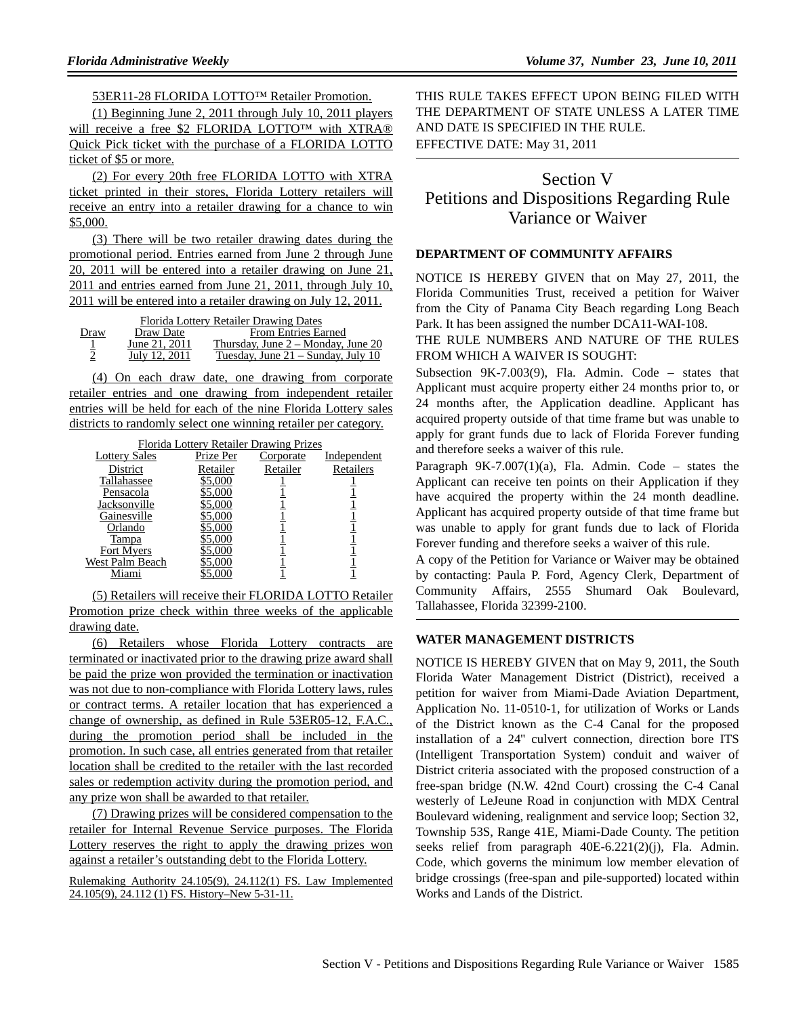53ER11-28 FLORIDA LOTTO™ Retailer Promotion.

(1) Beginning June 2, 2011 through July 10, 2011 players will receive a free \$2 FLORIDA LOTTO™ with XTRA® Quick Pick ticket with the purchase of a FLORIDA LOTTO ticket of \$5 or more.

(2) For every 20th free FLORIDA LOTTO with XTRA ticket printed in their stores, Florida Lottery retailers will receive an entry into a retailer drawing for a chance to win \$5,000.

(3) There will be two retailer drawing dates during the promotional period. Entries earned from June 2 through June 20, 2011 will be entered into a retailer drawing on June 21, 2011 and entries earned from June 21, 2011, through July 10, 2011 will be entered into a retailer drawing on July 12, 2011.

| Florida Lottery Retailer Drawing Dates |               |                                      |  |  |  |
|----------------------------------------|---------------|--------------------------------------|--|--|--|
| Draw                                   | Draw Date     | <b>From Entries Earned</b>           |  |  |  |
|                                        | June 21, 2011 | Thursday, June $2 -$ Monday, June 20 |  |  |  |
| $\mathcal{D}$                          | July 12, 2011 | Tuesday, June 21 – Sunday, July 10   |  |  |  |

(4) On each draw date, one drawing from corporate retailer entries and one drawing from independent retailer entries will be held for each of the nine Florida Lottery sales districts to randomly select one winning retailer per category.

| Florida Lottery Retailer Drawing Prizes |           |                  |             |  |  |
|-----------------------------------------|-----------|------------------|-------------|--|--|
| <b>Lottery Sales</b>                    | Prize Per | <b>Corporate</b> | Independent |  |  |
| District                                | Retailer  | Retailer         | Retailers   |  |  |
| Tallahassee                             | \$5,000   |                  |             |  |  |
| Pensacola                               | \$5,000   |                  |             |  |  |
| Jacksonville                            | \$5,000   |                  |             |  |  |
| Gainesville                             | 5.000     |                  |             |  |  |
| Orlando                                 | \$5,000   |                  |             |  |  |
| Tampa                                   | \$5,000   |                  |             |  |  |
| Fort Myers                              | \$5,000   |                  |             |  |  |
| West Palm Beach                         | 55,000    |                  |             |  |  |
|                                         |           |                  |             |  |  |

(5) Retailers will receive their FLORIDA LOTTO Retailer Promotion prize check within three weeks of the applicable drawing date.

(6) Retailers whose Florida Lottery contracts are terminated or inactivated prior to the drawing prize award shall be paid the prize won provided the termination or inactivation was not due to non-compliance with Florida Lottery laws, rules or contract terms. A retailer location that has experienced a change of ownership, as defined in Rule 53ER05-12, F.A.C., during the promotion period shall be included in the promotion. In such case, all entries generated from that retailer location shall be credited to the retailer with the last recorded sales or redemption activity during the promotion period, and any prize won shall be awarded to that retailer.

(7) Drawing prizes will be considered compensation to the retailer for Internal Revenue Service purposes. The Florida Lottery reserves the right to apply the drawing prizes won against a retailer's outstanding debt to the Florida Lottery.

Rulemaking Authority 24.105(9), 24.112(1) FS. Law Implemented 24.105(9), 24.112 (1) FS. History–New 5-31-11.

THIS RULE TAKES EFFECT UPON BEING FILED WITH THE DEPARTMENT OF STATE UNLESS A LATER TIME AND DATE IS SPECIFIED IN THE RULE. EFFECTIVE DATE: May 31, 2011

# Section V Petitions and Dispositions Regarding Rule Variance or Waiver

## **DEPARTMENT OF COMMUNITY AFFAIRS**

NOTICE IS HEREBY GIVEN that on May 27, 2011, the Florida Communities Trust, received a petition for Waiver from the City of Panama City Beach regarding Long Beach Park. It has been assigned the number DCA11-WAI-108.

## THE RULE NUMBERS AND NATURE OF THE RULES FROM WHICH A WAIVER IS SOUGHT:

Subsection 9K-7.003(9), Fla. Admin. Code – states that Applicant must acquire property either 24 months prior to, or 24 months after, the Application deadline. Applicant has acquired property outside of that time frame but was unable to apply for grant funds due to lack of Florida Forever funding and therefore seeks a waiver of this rule.

Paragraph  $9K-7.007(1)(a)$ , Fla. Admin. Code – states the Applicant can receive ten points on their Application if they have acquired the property within the 24 month deadline. Applicant has acquired property outside of that time frame but was unable to apply for grant funds due to lack of Florida Forever funding and therefore seeks a waiver of this rule.

A copy of the Petition for Variance or Waiver may be obtained by contacting: Paula P. Ford, Agency Clerk, Department of Community Affairs, 2555 Shumard Oak Boulevard, Tallahassee, Florida 32399-2100.

#### **WATER MANAGEMENT DISTRICTS**

NOTICE IS HEREBY GIVEN that on May 9, 2011, the South Florida Water Management District (District), received a petition for waiver from Miami-Dade Aviation Department, Application No. 11-0510-1, for utilization of Works or Lands of the District known as the C-4 Canal for the proposed installation of a 24'' culvert connection, direction bore ITS (Intelligent Transportation System) conduit and waiver of District criteria associated with the proposed construction of a free-span bridge (N.W. 42nd Court) crossing the C-4 Canal westerly of LeJeune Road in conjunction with MDX Central Boulevard widening, realignment and service loop; Section 32, Township 53S, Range 41E, Miami-Dade County. The petition seeks relief from paragraph 40E-6.221(2)(j), Fla. Admin. Code, which governs the minimum low member elevation of bridge crossings (free-span and pile-supported) located within Works and Lands of the District.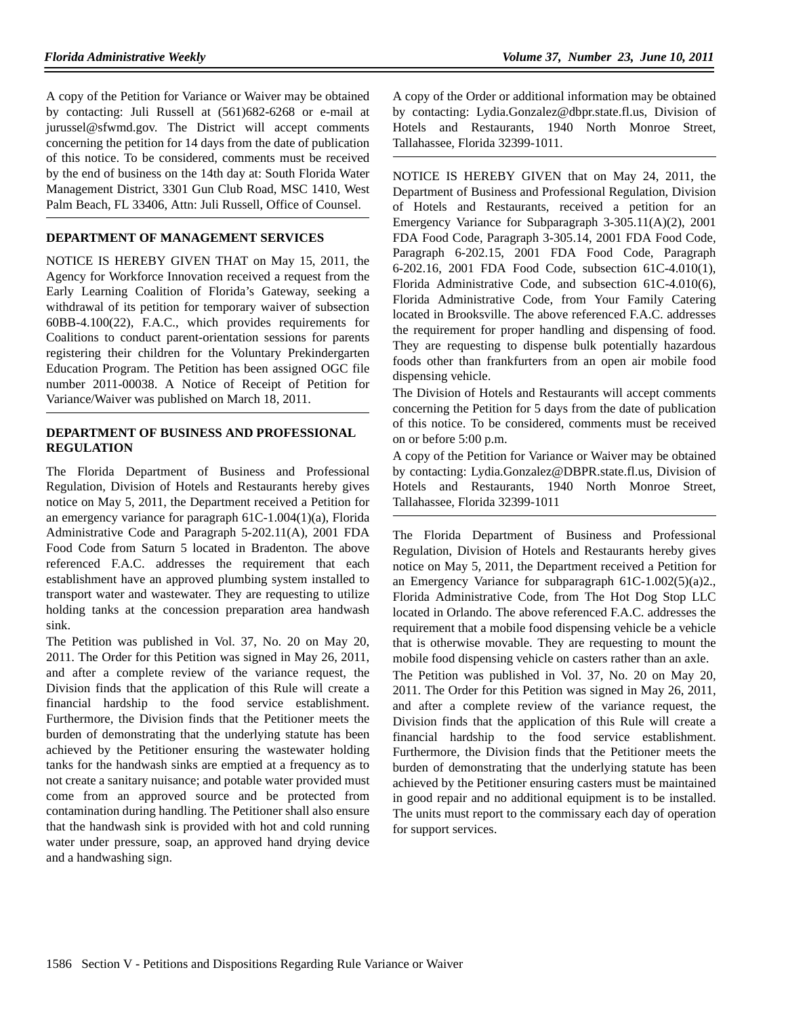A copy of the Petition for Variance or Waiver may be obtained by contacting: Juli Russell at (561)682-6268 or e-mail at jurussel@sfwmd.gov. The District will accept comments concerning the petition for 14 days from the date of publication of this notice. To be considered, comments must be received by the end of business on the 14th day at: South Florida Water Management District, 3301 Gun Club Road, MSC 1410, West Palm Beach, FL 33406, Attn: Juli Russell, Office of Counsel.

## **DEPARTMENT OF MANAGEMENT SERVICES**

NOTICE IS HEREBY GIVEN THAT on May 15, 2011, the Agency for Workforce Innovation received a request from the Early Learning Coalition of Florida's Gateway, seeking a withdrawal of its petition for temporary waiver of subsection 60BB-4.100(22), F.A.C., which provides requirements for Coalitions to conduct parent-orientation sessions for parents registering their children for the Voluntary Prekindergarten Education Program. The Petition has been assigned OGC file number 2011-00038. A Notice of Receipt of Petition for Variance/Waiver was published on March 18, 2011.

## **DEPARTMENT OF BUSINESS AND PROFESSIONAL REGULATION**

The Florida Department of Business and Professional Regulation, Division of Hotels and Restaurants hereby gives notice on May 5, 2011, the Department received a Petition for an emergency variance for paragraph 61C-1.004(1)(a), Florida Administrative Code and Paragraph 5-202.11(A), 2001 FDA Food Code from Saturn 5 located in Bradenton. The above referenced F.A.C. addresses the requirement that each establishment have an approved plumbing system installed to transport water and wastewater. They are requesting to utilize holding tanks at the concession preparation area handwash sink.

The Petition was published in Vol. 37, No. 20 on May 20, 2011. The Order for this Petition was signed in May 26, 2011, and after a complete review of the variance request, the Division finds that the application of this Rule will create a financial hardship to the food service establishment. Furthermore, the Division finds that the Petitioner meets the burden of demonstrating that the underlying statute has been achieved by the Petitioner ensuring the wastewater holding tanks for the handwash sinks are emptied at a frequency as to not create a sanitary nuisance; and potable water provided must come from an approved source and be protected from contamination during handling. The Petitioner shall also ensure that the handwash sink is provided with hot and cold running water under pressure, soap, an approved hand drying device and a handwashing sign.

A copy of the Order or additional information may be obtained by contacting: Lydia.Gonzalez@dbpr.state.fl.us, Division of Hotels and Restaurants, 1940 North Monroe Street, Tallahassee, Florida 32399-1011.

NOTICE IS HEREBY GIVEN that on May 24, 2011, the Department of Business and Professional Regulation, Division of Hotels and Restaurants, received a petition for an Emergency Variance for Subparagraph 3-305.11(A)(2), 2001 FDA Food Code, Paragraph 3-305.14, 2001 FDA Food Code, Paragraph 6-202.15, 2001 FDA Food Code, Paragraph 6-202.16, 2001 FDA Food Code, subsection 61C-4.010(1), Florida Administrative Code, and subsection 61C-4.010(6), Florida Administrative Code, from Your Family Catering located in Brooksville. The above referenced F.A.C. addresses the requirement for proper handling and dispensing of food. They are requesting to dispense bulk potentially hazardous foods other than frankfurters from an open air mobile food dispensing vehicle.

The Division of Hotels and Restaurants will accept comments concerning the Petition for 5 days from the date of publication of this notice. To be considered, comments must be received on or before 5:00 p.m.

A copy of the Petition for Variance or Waiver may be obtained by contacting: Lydia.Gonzalez@DBPR.state.fl.us, Division of Hotels and Restaurants, 1940 North Monroe Street, Tallahassee, Florida 32399-1011

The Florida Department of Business and Professional Regulation, Division of Hotels and Restaurants hereby gives notice on May 5, 2011, the Department received a Petition for an Emergency Variance for subparagraph 61C-1.002(5)(a)2., Florida Administrative Code, from The Hot Dog Stop LLC located in Orlando. The above referenced F.A.C. addresses the requirement that a mobile food dispensing vehicle be a vehicle that is otherwise movable. They are requesting to mount the mobile food dispensing vehicle on casters rather than an axle.

The Petition was published in Vol. 37, No. 20 on May 20, 2011. The Order for this Petition was signed in May 26, 2011, and after a complete review of the variance request, the Division finds that the application of this Rule will create a financial hardship to the food service establishment. Furthermore, the Division finds that the Petitioner meets the burden of demonstrating that the underlying statute has been achieved by the Petitioner ensuring casters must be maintained in good repair and no additional equipment is to be installed. The units must report to the commissary each day of operation for support services.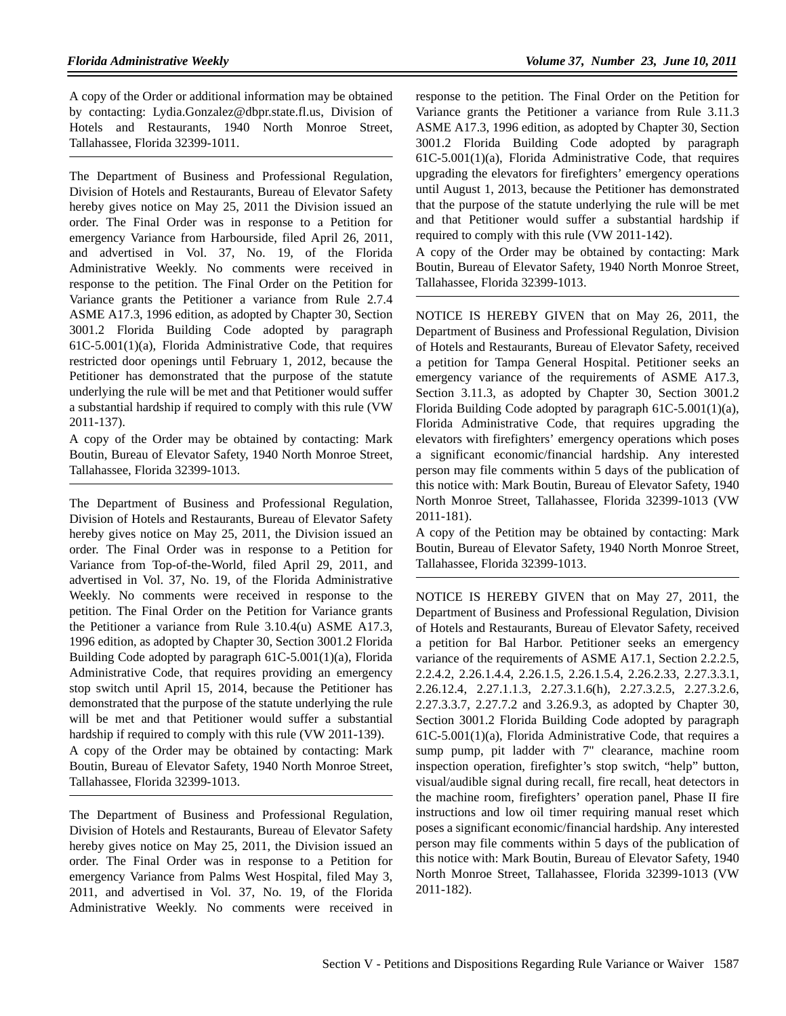A copy of the Order or additional information may be obtained by contacting: Lydia.Gonzalez@dbpr.state.fl.us, Division of Hotels and Restaurants, 1940 North Monroe Street, Tallahassee, Florida 32399-1011.

The Department of Business and Professional Regulation, Division of Hotels and Restaurants, Bureau of Elevator Safety hereby gives notice on May 25, 2011 the Division issued an order. The Final Order was in response to a Petition for emergency Variance from Harbourside, filed April 26, 2011, and advertised in Vol. 37, No. 19, of the Florida Administrative Weekly. No comments were received in response to the petition. The Final Order on the Petition for Variance grants the Petitioner a variance from Rule 2.7.4 ASME A17.3, 1996 edition, as adopted by Chapter 30, Section 3001.2 Florida Building Code adopted by paragraph 61C-5.001(1)(a), Florida Administrative Code, that requires restricted door openings until February 1, 2012, because the Petitioner has demonstrated that the purpose of the statute underlying the rule will be met and that Petitioner would suffer a substantial hardship if required to comply with this rule (VW 2011-137).

A copy of the Order may be obtained by contacting: Mark Boutin, Bureau of Elevator Safety, 1940 North Monroe Street, Tallahassee, Florida 32399-1013.

The Department of Business and Professional Regulation, Division of Hotels and Restaurants, Bureau of Elevator Safety hereby gives notice on May 25, 2011, the Division issued an order. The Final Order was in response to a Petition for Variance from Top-of-the-World, filed April 29, 2011, and advertised in Vol. 37, No. 19, of the Florida Administrative Weekly. No comments were received in response to the petition. The Final Order on the Petition for Variance grants the Petitioner a variance from Rule 3.10.4(u) ASME A17.3, 1996 edition, as adopted by Chapter 30, Section 3001.2 Florida Building Code adopted by paragraph 61C-5.001(1)(a), Florida Administrative Code, that requires providing an emergency stop switch until April 15, 2014, because the Petitioner has demonstrated that the purpose of the statute underlying the rule will be met and that Petitioner would suffer a substantial hardship if required to comply with this rule (VW 2011-139).

A copy of the Order may be obtained by contacting: Mark Boutin, Bureau of Elevator Safety, 1940 North Monroe Street, Tallahassee, Florida 32399-1013.

The Department of Business and Professional Regulation, Division of Hotels and Restaurants, Bureau of Elevator Safety hereby gives notice on May 25, 2011, the Division issued an order. The Final Order was in response to a Petition for emergency Variance from Palms West Hospital, filed May 3, 2011, and advertised in Vol. 37, No. 19, of the Florida Administrative Weekly. No comments were received in

response to the petition. The Final Order on the Petition for Variance grants the Petitioner a variance from Rule 3.11.3 ASME A17.3, 1996 edition, as adopted by Chapter 30, Section 3001.2 Florida Building Code adopted by paragraph 61C-5.001(1)(a), Florida Administrative Code, that requires upgrading the elevators for firefighters' emergency operations until August 1, 2013, because the Petitioner has demonstrated that the purpose of the statute underlying the rule will be met and that Petitioner would suffer a substantial hardship if required to comply with this rule (VW 2011-142).

A copy of the Order may be obtained by contacting: Mark Boutin, Bureau of Elevator Safety, 1940 North Monroe Street, Tallahassee, Florida 32399-1013.

NOTICE IS HEREBY GIVEN that on May 26, 2011, the Department of Business and Professional Regulation, Division of Hotels and Restaurants, Bureau of Elevator Safety, received a petition for Tampa General Hospital. Petitioner seeks an emergency variance of the requirements of ASME A17.3, Section 3.11.3, as adopted by Chapter 30, Section 3001.2 Florida Building Code adopted by paragraph 61C-5.001(1)(a), Florida Administrative Code, that requires upgrading the elevators with firefighters' emergency operations which poses a significant economic/financial hardship. Any interested person may file comments within 5 days of the publication of this notice with: Mark Boutin, Bureau of Elevator Safety, 1940 North Monroe Street, Tallahassee, Florida 32399-1013 (VW 2011-181).

A copy of the Petition may be obtained by contacting: Mark Boutin, Bureau of Elevator Safety, 1940 North Monroe Street, Tallahassee, Florida 32399-1013.

NOTICE IS HEREBY GIVEN that on May 27, 2011, the Department of Business and Professional Regulation, Division of Hotels and Restaurants, Bureau of Elevator Safety, received a petition for Bal Harbor. Petitioner seeks an emergency variance of the requirements of ASME A17.1, Section 2.2.2.5, 2.2.4.2, 2.26.1.4.4, 2.26.1.5, 2.26.1.5.4, 2.26.2.33, 2.27.3.3.1, 2.26.12.4, 2.27.1.1.3, 2.27.3.1.6(h), 2.27.3.2.5, 2.27.3.2.6, 2.27.3.3.7, 2.27.7.2 and 3.26.9.3, as adopted by Chapter 30, Section 3001.2 Florida Building Code adopted by paragraph 61C-5.001(1)(a), Florida Administrative Code, that requires a sump pump, pit ladder with 7" clearance, machine room inspection operation, firefighter's stop switch, "help" button, visual/audible signal during recall, fire recall, heat detectors in the machine room, firefighters' operation panel, Phase II fire instructions and low oil timer requiring manual reset which poses a significant economic/financial hardship. Any interested person may file comments within 5 days of the publication of this notice with: Mark Boutin, Bureau of Elevator Safety, 1940 North Monroe Street, Tallahassee, Florida 32399-1013 (VW 2011-182).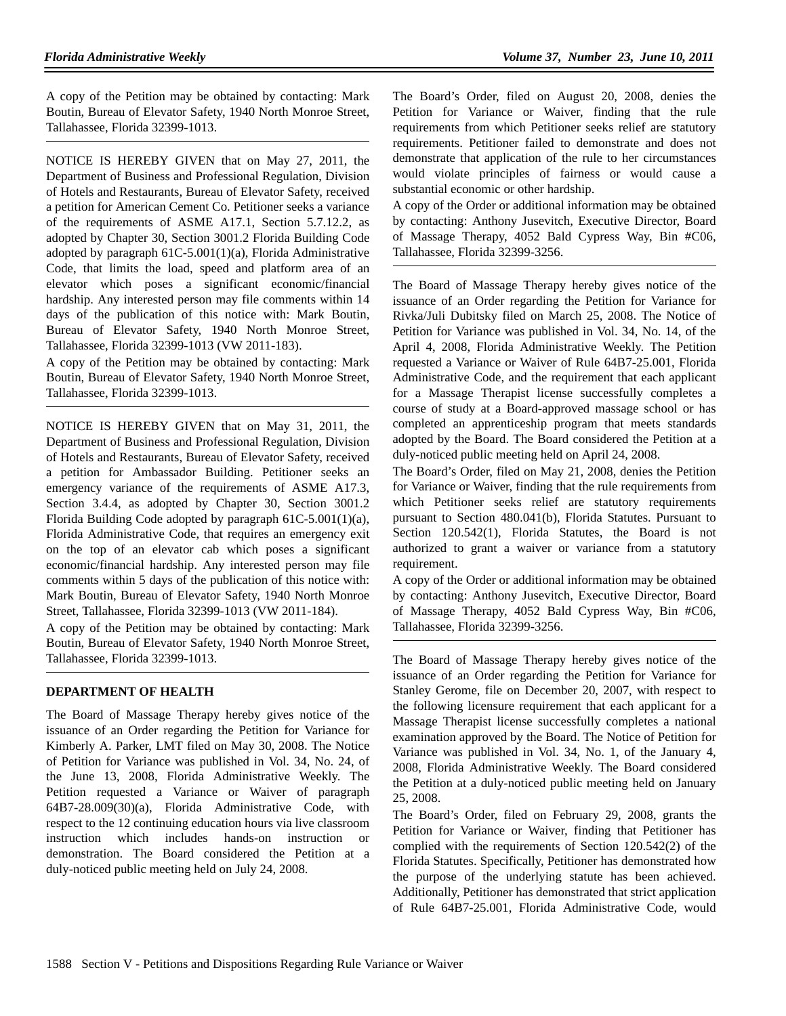A copy of the Petition may be obtained by contacting: Mark Boutin, Bureau of Elevator Safety, 1940 North Monroe Street, Tallahassee, Florida 32399-1013.

NOTICE IS HEREBY GIVEN that on May 27, 2011, the Department of Business and Professional Regulation, Division of Hotels and Restaurants, Bureau of Elevator Safety, received a petition for American Cement Co. Petitioner seeks a variance of the requirements of ASME A17.1, Section 5.7.12.2, as adopted by Chapter 30, Section 3001.2 Florida Building Code adopted by paragraph 61C-5.001(1)(a), Florida Administrative Code, that limits the load, speed and platform area of an elevator which poses a significant economic/financial hardship. Any interested person may file comments within 14 days of the publication of this notice with: Mark Boutin, Bureau of Elevator Safety, 1940 North Monroe Street, Tallahassee, Florida 32399-1013 (VW 2011-183).

A copy of the Petition may be obtained by contacting: Mark Boutin, Bureau of Elevator Safety, 1940 North Monroe Street, Tallahassee, Florida 32399-1013.

NOTICE IS HEREBY GIVEN that on May 31, 2011, the Department of Business and Professional Regulation, Division of Hotels and Restaurants, Bureau of Elevator Safety, received a petition for Ambassador Building. Petitioner seeks an emergency variance of the requirements of ASME A17.3, Section 3.4.4, as adopted by Chapter 30, Section 3001.2 Florida Building Code adopted by paragraph 61C-5.001(1)(a), Florida Administrative Code, that requires an emergency exit on the top of an elevator cab which poses a significant economic/financial hardship. Any interested person may file comments within 5 days of the publication of this notice with: Mark Boutin, Bureau of Elevator Safety, 1940 North Monroe Street, Tallahassee, Florida 32399-1013 (VW 2011-184).

A copy of the Petition may be obtained by contacting: Mark Boutin, Bureau of Elevator Safety, 1940 North Monroe Street, Tallahassee, Florida 32399-1013.

## **DEPARTMENT OF HEALTH**

The Board of Massage Therapy hereby gives notice of the issuance of an Order regarding the Petition for Variance for Kimberly A. Parker, LMT filed on May 30, 2008. The Notice of Petition for Variance was published in Vol. 34, No. 24, of the June 13, 2008, Florida Administrative Weekly. The Petition requested a Variance or Waiver of paragraph 64B7-28.009(30)(a), Florida Administrative Code, with respect to the 12 continuing education hours via live classroom instruction which includes hands-on instruction or demonstration. The Board considered the Petition at a duly-noticed public meeting held on July 24, 2008.

The Board's Order, filed on August 20, 2008, denies the Petition for Variance or Waiver, finding that the rule requirements from which Petitioner seeks relief are statutory requirements. Petitioner failed to demonstrate and does not demonstrate that application of the rule to her circumstances would violate principles of fairness or would cause a substantial economic or other hardship.

A copy of the Order or additional information may be obtained by contacting: Anthony Jusevitch, Executive Director, Board of Massage Therapy, 4052 Bald Cypress Way, Bin #C06, Tallahassee, Florida 32399-3256.

The Board of Massage Therapy hereby gives notice of the issuance of an Order regarding the Petition for Variance for Rivka/Juli Dubitsky filed on March 25, 2008. The Notice of Petition for Variance was published in Vol. 34, No. 14, of the April 4, 2008, Florida Administrative Weekly. The Petition requested a Variance or Waiver of Rule 64B7-25.001, Florida Administrative Code, and the requirement that each applicant for a Massage Therapist license successfully completes a course of study at a Board-approved massage school or has completed an apprenticeship program that meets standards adopted by the Board. The Board considered the Petition at a duly-noticed public meeting held on April 24, 2008.

The Board's Order, filed on May 21, 2008, denies the Petition for Variance or Waiver, finding that the rule requirements from which Petitioner seeks relief are statutory requirements pursuant to Section 480.041(b), Florida Statutes. Pursuant to Section 120.542(1), Florida Statutes, the Board is not authorized to grant a waiver or variance from a statutory requirement.

A copy of the Order or additional information may be obtained by contacting: Anthony Jusevitch, Executive Director, Board of Massage Therapy, 4052 Bald Cypress Way, Bin #C06, Tallahassee, Florida 32399-3256.

The Board of Massage Therapy hereby gives notice of the issuance of an Order regarding the Petition for Variance for Stanley Gerome, file on December 20, 2007, with respect to the following licensure requirement that each applicant for a Massage Therapist license successfully completes a national examination approved by the Board. The Notice of Petition for Variance was published in Vol. 34, No. 1, of the January 4, 2008, Florida Administrative Weekly. The Board considered the Petition at a duly-noticed public meeting held on January 25, 2008.

The Board's Order, filed on February 29, 2008, grants the Petition for Variance or Waiver, finding that Petitioner has complied with the requirements of Section 120.542(2) of the Florida Statutes. Specifically, Petitioner has demonstrated how the purpose of the underlying statute has been achieved. Additionally, Petitioner has demonstrated that strict application of Rule 64B7-25.001, Florida Administrative Code, would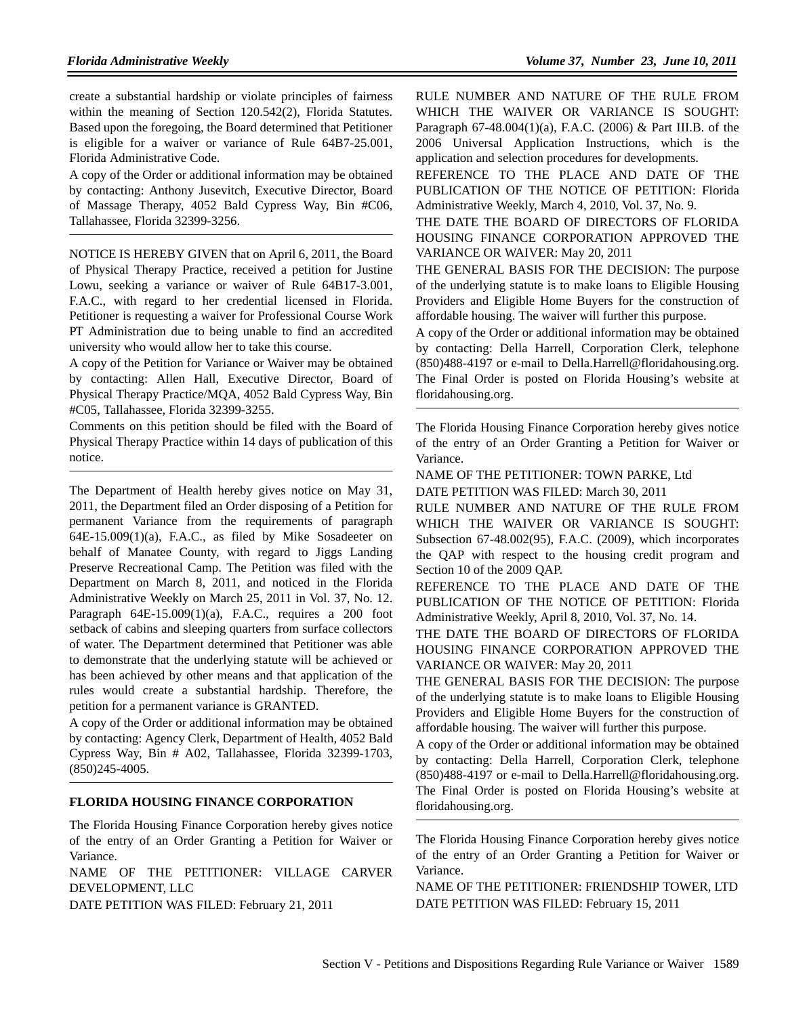create a substantial hardship or violate principles of fairness within the meaning of Section 120.542(2), Florida Statutes. Based upon the foregoing, the Board determined that Petitioner is eligible for a waiver or variance of Rule 64B7-25.001, Florida Administrative Code.

A copy of the Order or additional information may be obtained by contacting: Anthony Jusevitch, Executive Director, Board of Massage Therapy, 4052 Bald Cypress Way, Bin #C06, Tallahassee, Florida 32399-3256.

NOTICE IS HEREBY GIVEN that on April 6, 2011, the Board of Physical Therapy Practice, received a petition for Justine Lowu, seeking a variance or waiver of Rule 64B17-3.001, F.A.C., with regard to her credential licensed in Florida. Petitioner is requesting a waiver for Professional Course Work PT Administration due to being unable to find an accredited university who would allow her to take this course.

A copy of the Petition for Variance or Waiver may be obtained by contacting: Allen Hall, Executive Director, Board of Physical Therapy Practice/MQA, 4052 Bald Cypress Way, Bin #C05, Tallahassee, Florida 32399-3255.

Comments on this petition should be filed with the Board of Physical Therapy Practice within 14 days of publication of this notice.

The Department of Health hereby gives notice on May 31, 2011, the Department filed an Order disposing of a Petition for permanent Variance from the requirements of paragraph 64E-15.009(1)(a), F.A.C., as filed by Mike Sosadeeter on behalf of Manatee County, with regard to Jiggs Landing Preserve Recreational Camp. The Petition was filed with the Department on March 8, 2011, and noticed in the Florida Administrative Weekly on March 25, 2011 in Vol. 37, No. 12. Paragraph  $64E-15.009(1)(a)$ , F.A.C., requires a 200 foot setback of cabins and sleeping quarters from surface collectors of water. The Department determined that Petitioner was able to demonstrate that the underlying statute will be achieved or has been achieved by other means and that application of the rules would create a substantial hardship. Therefore, the petition for a permanent variance is GRANTED.

A copy of the Order or additional information may be obtained by contacting: Agency Clerk, Department of Health, 4052 Bald Cypress Way, Bin # A02, Tallahassee, Florida 32399-1703, (850)245-4005.

#### **FLORIDA HOUSING FINANCE CORPORATION**

The Florida Housing Finance Corporation hereby gives notice of the entry of an Order Granting a Petition for Waiver or Variance.

NAME OF THE PETITIONER: VILLAGE CARVER DEVELOPMENT, LLC

DATE PETITION WAS FILED: February 21, 2011

RULE NUMBER AND NATURE OF THE RULE FROM WHICH THE WAIVER OR VARIANCE IS SOUGHT: Paragraph 67-48.004(1)(a), F.A.C. (2006) & Part III.B. of the 2006 Universal Application Instructions, which is the application and selection procedures for developments.

REFERENCE TO THE PLACE AND DATE OF THE PUBLICATION OF THE NOTICE OF PETITION: Florida Administrative Weekly, March 4, 2010, Vol. 37, No. 9.

THE DATE THE BOARD OF DIRECTORS OF FLORIDA HOUSING FINANCE CORPORATION APPROVED THE VARIANCE OR WAIVER: May 20, 2011

THE GENERAL BASIS FOR THE DECISION: The purpose of the underlying statute is to make loans to Eligible Housing Providers and Eligible Home Buyers for the construction of affordable housing. The waiver will further this purpose.

A copy of the Order or additional information may be obtained by contacting: Della Harrell, Corporation Clerk, telephone (850)488-4197 or e-mail to Della.Harrell@floridahousing.org. The Final Order is posted on Florida Housing's website at floridahousing.org.

The Florida Housing Finance Corporation hereby gives notice of the entry of an Order Granting a Petition for Waiver or Variance.

NAME OF THE PETITIONER: TOWN PARKE, Ltd

DATE PETITION WAS FILED: March 30, 2011

RULE NUMBER AND NATURE OF THE RULE FROM WHICH THE WAIVER OR VARIANCE IS SOUGHT: Subsection 67-48.002(95), F.A.C. (2009), which incorporates the QAP with respect to the housing credit program and Section 10 of the 2009 QAP.

REFERENCE TO THE PLACE AND DATE OF THE PUBLICATION OF THE NOTICE OF PETITION: Florida Administrative Weekly, April 8, 2010, Vol. 37, No. 14.

THE DATE THE BOARD OF DIRECTORS OF FLORIDA HOUSING FINANCE CORPORATION APPROVED THE VARIANCE OR WAIVER: May 20, 2011

THE GENERAL BASIS FOR THE DECISION: The purpose of the underlying statute is to make loans to Eligible Housing Providers and Eligible Home Buyers for the construction of affordable housing. The waiver will further this purpose.

A copy of the Order or additional information may be obtained by contacting: Della Harrell, Corporation Clerk, telephone (850)488-4197 or e-mail to Della.Harrell@floridahousing.org. The Final Order is posted on Florida Housing's website at floridahousing.org.

The Florida Housing Finance Corporation hereby gives notice of the entry of an Order Granting a Petition for Waiver or Variance.

NAME OF THE PETITIONER: FRIENDSHIP TOWER, LTD DATE PETITION WAS FILED: February 15, 2011